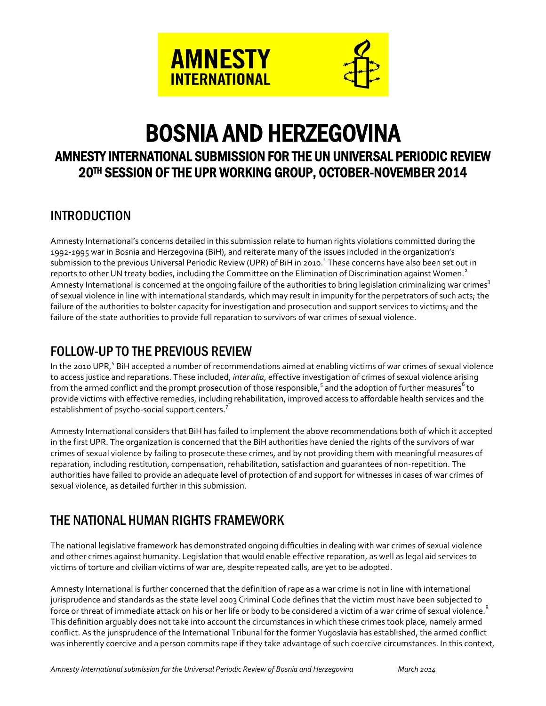

# BOSNIA AND HERZEGOVINA

## AMNESTY INTERNATIONAL SUBMISSION FOR THE UN UNIVERSAL PERIODIC REVIEW 20TH SESSION OF THE UPR WORKING GROUP, OCTOBER-NOVEMBER 2014

## INTRODUCTION

Amnesty International's concerns detailed in this submission relate to human rights violations committed during the 1992-1995 war in Bosnia and Herzegovina (BiH), and reiterate many of the issues included in the organization's submission to the previous Universal Periodic Review (UPR) of BiH in 2010.<sup>1</sup> These concerns have also been set out in reports to other UN treaty bodies, including the Committee on the Elimination of Discrimination against Women.<sup>2</sup> Amnesty International is concerned at the ongoing failure of the authorities to bring legislation criminalizing war crimes<sup>3</sup> of sexual violence in line with international standards, which may result in impunity for the perpetrators of such acts; the failure of the authorities to bolster capacity for investigation and prosecution and support services to victims; and the failure of the state authorities to provide full reparation to survivors of war crimes of sexual violence.

## FOLLOW-UP TO THE PREVIOUS REVIEW

In the 2010 UPR,<sup>4</sup> BiH accepted a number of recommendations aimed at enabling victims of war crimes of sexual violence to access justice and reparations. These included, *inter alia*, effective investigation of crimes of sexual violence arising from the armed conflict and the prompt prosecution of those responsible,<sup>5</sup> and the adoption of further measures<sup>6</sup> to provide victims with effective remedies, including rehabilitation, improved access to affordable health services and the establishment of psycho-social support centers.<sup>7</sup>

Amnesty International considers that BiH has failed to implement the above recommendations both of which it accepted in the first UPR. The organization is concerned that the BiH authorities have denied the rights of the survivors of war crimes of sexual violence by failing to prosecute these crimes, and by not providing them with meaningful measures of reparation, including restitution, compensation, rehabilitation, satisfaction and guarantees of non-repetition. The authorities have failed to provide an adequate level of protection of and support for witnesses in cases of war crimes of sexual violence, as detailed further in this submission.

## THE NATIONAL HUMAN RIGHTS FRAMEWORK

The national legislative framework has demonstrated ongoing difficulties in dealing with war crimes of sexual violence and other crimes against humanity. Legislation that would enable effective reparation, as well as legal aid services to victims of torture and civilian victims of war are, despite repeated calls, are yet to be adopted.

Amnesty International is further concerned that the definition of rape as a war crime is not in line with international jurisprudence and standards as the state level 2003 Criminal Code defines that the victim must have been subjected to force or threat of immediate attack on his or her life or body to be considered a victim of a war crime of sexual violence.<sup>8</sup> This definition arguably does not take into account the circumstances in which these crimes took place, namely armed conflict. As the jurisprudence of the International Tribunal for the former Yugoslavia has established, the armed conflict was inherently coercive and a person commits rape if they take advantage of such coercive circumstances. In this context,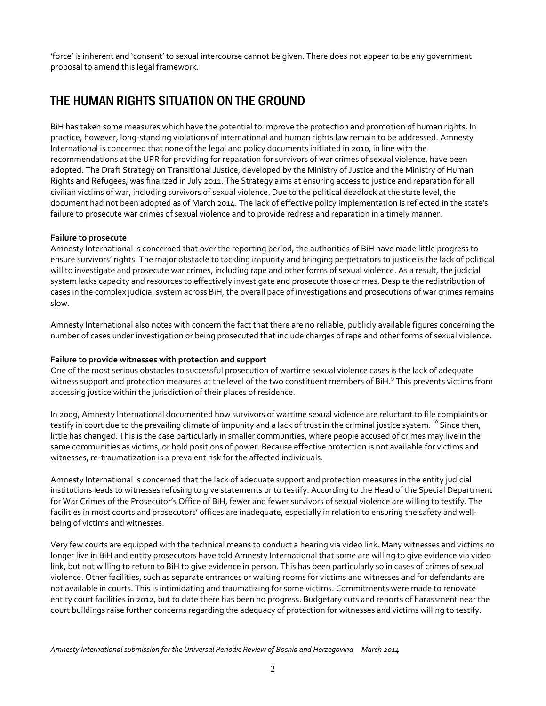'force' is inherent and 'consent' to sexual intercourse cannot be given. There does not appear to be any government proposal to amend this legal framework.

## THE HUMAN RIGHTS SITUATION ON THE GROUND

BiH has taken some measures which have the potential to improve the protection and promotion of human rights. In practice, however, long-standing violations of international and human rights law remain to be addressed. Amnesty International is concerned that none of the legal and policy documents initiated in 2010, in line with the recommendations at the UPR for providing for reparation for survivors of war crimes of sexual violence, have been adopted. The Draft Strategy on Transitional Justice, developed by the Ministry of Justice and the Ministry of Human Rights and Refugees, was finalized in July 2011. The Strategy aims at ensuring access to justice and reparation for all civilian victims of war, including survivors of sexual violence. Due to the political deadlock at the state level, the document had not been adopted as of March 2014. The lack of effective policy implementation is reflected in the state's failure to prosecute war crimes of sexual violence and to provide redress and reparation in a timely manner.

#### **Failure to prosecute**

Amnesty International is concerned that over the reporting period, the authorities of BiH have made little progress to ensure survivors' rights. The major obstacle to tackling impunity and bringing perpetrators to justice is the lack of political will to investigate and prosecute war crimes, including rape and other forms of sexual violence. As a result, the judicial system lacks capacity and resources to effectively investigate and prosecute those crimes. Despite the redistribution of cases in the complex judicial system across BiH, the overall pace of investigations and prosecutions of war crimes remains slow.

Amnesty International also notes with concern the fact that there are no reliable, publicly available figures concerning the number of cases under investigation or being prosecuted that include charges of rape and other forms of sexual violence.

#### **Failure to provide witnesses with protection and support**

One of the most serious obstacles to successful prosecution of wartime sexual violence cases is the lack of adequate witness support and protection measures at the level of the two constituent members of BiH.<sup>9</sup> This prevents victims from accessing justice within the jurisdiction of their places of residence.

In 2009, Amnesty International documented how survivors of wartime sexual violence are reluctant to file complaints or testify in court due to the prevailing climate of impunity and a lack of trust in the criminal justice system.<sup>10</sup> Since then, little has changed. This is the case particularly in smaller communities, where people accused of crimes may live in the same communities as victims, or hold positions of power. Because effective protection is not available for victims and witnesses, re-traumatization is a prevalent risk for the affected individuals.

Amnesty International is concerned that the lack of adequate support and protection measures in the entity judicial institutions leads to witnesses refusing to give statements or to testify. According to the Head of the Special Department for War Crimes of the Prosecutor's Office of BiH, fewer and fewer survivors of sexual violence are willing to testify. The facilities in most courts and prosecutors' offices are inadequate, especially in relation to ensuring the safety and wellbeing of victims and witnesses.

Very few courts are equipped with the technical means to conduct a hearing via video link. Many witnesses and victims no longer live in BiH and entity prosecutors have told Amnesty International that some are willing to give evidence via video link, but not willing to return to BiH to give evidence in person. This has been particularly so in cases of crimes of sexual violence. Other facilities, such as separate entrances or waiting rooms for victims and witnesses and for defendants are not available in courts. This is intimidating and traumatizing for some victims. Commitments were made to renovate entity court facilities in 2012, but to date there has been no progress. Budgetary cuts and reports of harassment near the court buildings raise further concerns regarding the adequacy of protection for witnesses and victims willing to testify.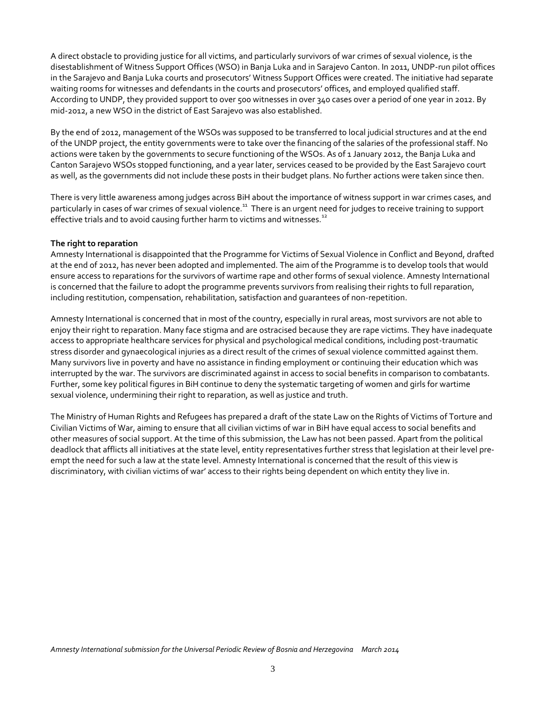A direct obstacle to providing justice for all victims, and particularly survivors of war crimes of sexual violence, is the disestablishment of Witness Support Offices (WSO) in Banja Luka and in Sarajevo Canton. In 2011, UNDP-run pilot offices in the Sarajevo and Banja Luka courts and prosecutors' Witness Support Offices were created. The initiative had separate waiting rooms for witnesses and defendants in the courts and prosecutors' offices, and employed qualified staff. According to UNDP, they provided support to over 500 witnesses in over 340 cases over a period of one year in 2012. By mid-2012, a new WSO in the district of East Sarajevo was also established.

By the end of 2012, management of the WSOs was supposed to be transferred to local judicial structures and at the end of the UNDP project, the entity governments were to take over the financing of the salaries of the professional staff. No actions were taken by the governments to secure functioning of the WSOs. As of 1 January 2012, the Banja Luka and Canton Sarajevo WSOs stopped functioning, and a year later, services ceased to be provided by the East Sarajevo court as well, as the governments did not include these posts in their budget plans. No further actions were taken since then.

There is very little awareness among judges across BiH about the importance of witness support in war crimes cases, and particularly in cases of war crimes of sexual violence.<sup>11</sup> There is an urgent need for judges to receive training to support effective trials and to avoid causing further harm to victims and witnesses.<sup>12</sup>

#### **The right to reparation**

Amnesty International is disappointed that the Programme for Victims of Sexual Violence in Conflict and Beyond, drafted at the end of 2012, has never been adopted and implemented. The aim of the Programme is to develop tools that would ensure access to reparations for the survivors of wartime rape and other forms of sexual violence. Amnesty International is concerned that the failure to adopt the programme prevents survivors from realising their rights to full reparation, including restitution, compensation, rehabilitation, satisfaction and guarantees of non-repetition.

Amnesty International is concerned that in most of the country, especially in rural areas, most survivors are not able to enjoy their right to reparation. Many face stigma and are ostracised because they are rape victims. They have inadequate access to appropriate healthcare services for physical and psychological medical conditions, including post-traumatic stress disorder and gynaecological injuries as a direct result of the crimes of sexual violence committed against them. Many survivors live in poverty and have no assistance in finding employment or continuing their education which was interrupted by the war. The survivors are discriminated against in access to social benefits in comparison to combatants. Further, some key political figures in BiH continue to deny the systematic targeting of women and girls for wartime sexual violence, undermining their right to reparation, as well as justice and truth.

The Ministry of Human Rights and Refugees has prepared a draft of the state Law on the Rights of Victims of Torture and Civilian Victims of War, aiming to ensure that all civilian victims of war in BiH have equal access to social benefits and other measures of social support. At the time of this submission, the Law has not been passed. Apart from the political deadlock that afflicts all initiatives at the state level, entity representatives further stress that legislation at their level preempt the need for such a law at the state level. Amnesty International is concerned that the result of this view is discriminatory, with civilian victims of war' access to their rights being dependent on which entity they live in.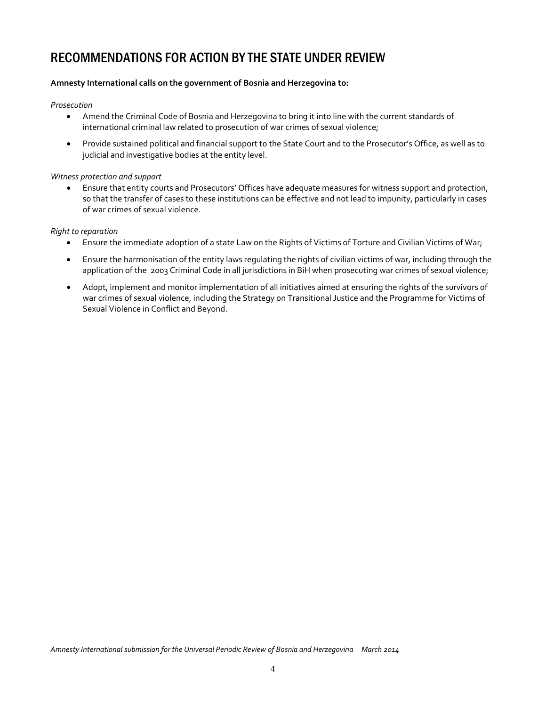## RECOMMENDATIONS FOR ACTION BY THE STATE UNDER REVIEW

#### **Amnesty International calls on the government of Bosnia and Herzegovina to:**

#### *Prosecution*

- Amend the Criminal Code of Bosnia and Herzegovina to bring it into line with the current standards of international criminal law related to prosecution of war crimes of sexual violence;
- Provide sustained political and financial support to the State Court and to the Prosecutor's Office, as well as to judicial and investigative bodies at the entity level.

#### *Witness protection and support*

 Ensure that entity courts and Prosecutors' Offices have adequate measures for witness support and protection, so that the transfer of cases to these institutions can be effective and not lead to impunity, particularly in cases of war crimes of sexual violence.

#### *Right to reparation*

- Ensure the immediate adoption of a state Law on the Rights of Victims of Torture and Civilian Victims of War;
- Ensure the harmonisation of the entity laws regulating the rights of civilian victims of war, including through the application of the 2003 Criminal Code in all jurisdictions in BiH when prosecuting war crimes of sexual violence;
- Adopt, implement and monitor implementation of all initiatives aimed at ensuring the rights of the survivors of war crimes of sexual violence, including the Strategy on Transitional Justice and the Programme for Victims of Sexual Violence in Conflict and Beyond.